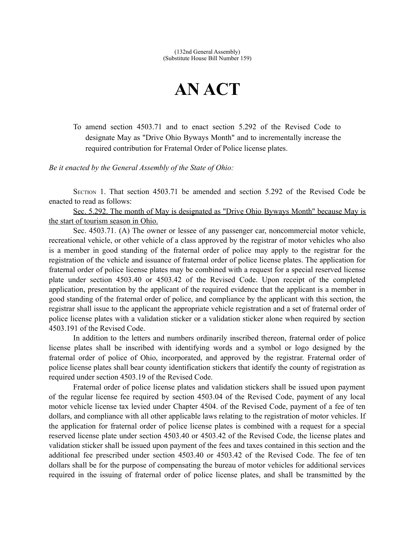## **AN ACT**

To amend section 4503.71 and to enact section 5.292 of the Revised Code to designate May as "Drive Ohio Byways Month" and to incrementally increase the required contribution for Fraternal Order of Police license plates.

*Be it enacted by the General Assembly of the State of Ohio:*

SECTION 1. That section 4503.71 be amended and section 5.292 of the Revised Code be enacted to read as follows:

 Sec. 5.292. The month of May is designated as "Drive Ohio Byways Month" because May is the start of tourism season in Ohio.

Sec. 4503.71. (A) The owner or lessee of any passenger car, noncommercial motor vehicle, recreational vehicle, or other vehicle of a class approved by the registrar of motor vehicles who also is a member in good standing of the fraternal order of police may apply to the registrar for the registration of the vehicle and issuance of fraternal order of police license plates. The application for fraternal order of police license plates may be combined with a request for a special reserved license plate under section 4503.40 or 4503.42 of the Revised Code. Upon receipt of the completed application, presentation by the applicant of the required evidence that the applicant is a member in good standing of the fraternal order of police, and compliance by the applicant with this section, the registrar shall issue to the applicant the appropriate vehicle registration and a set of fraternal order of police license plates with a validation sticker or a validation sticker alone when required by section 4503.191 of the Revised Code.

In addition to the letters and numbers ordinarily inscribed thereon, fraternal order of police license plates shall be inscribed with identifying words and a symbol or logo designed by the fraternal order of police of Ohio, incorporated, and approved by the registrar. Fraternal order of police license plates shall bear county identification stickers that identify the county of registration as required under section 4503.19 of the Revised Code.

Fraternal order of police license plates and validation stickers shall be issued upon payment of the regular license fee required by section 4503.04 of the Revised Code, payment of any local motor vehicle license tax levied under Chapter 4504. of the Revised Code, payment of a fee of ten dollars, and compliance with all other applicable laws relating to the registration of motor vehicles. If the application for fraternal order of police license plates is combined with a request for a special reserved license plate under section 4503.40 or 4503.42 of the Revised Code, the license plates and validation sticker shall be issued upon payment of the fees and taxes contained in this section and the additional fee prescribed under section 4503.40 or 4503.42 of the Revised Code. The fee of ten dollars shall be for the purpose of compensating the bureau of motor vehicles for additional services required in the issuing of fraternal order of police license plates, and shall be transmitted by the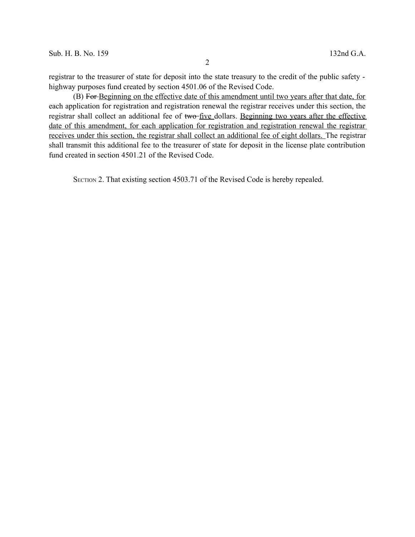registrar to the treasurer of state for deposit into the state treasury to the credit of the public safety highway purposes fund created by section 4501.06 of the Revised Code.

(B) For Beginning on the effective date of this amendment until two years after that date, for each application for registration and registration renewal the registrar receives under this section, the registrar shall collect an additional fee of two-five dollars. Beginning two years after the effective date of this amendment, for each application for registration and registration renewal the registrar receives under this section, the registrar shall collect an additional fee of eight dollars. The registrar shall transmit this additional fee to the treasurer of state for deposit in the license plate contribution fund created in section 4501.21 of the Revised Code.

SECTION 2. That existing section 4503.71 of the Revised Code is hereby repealed.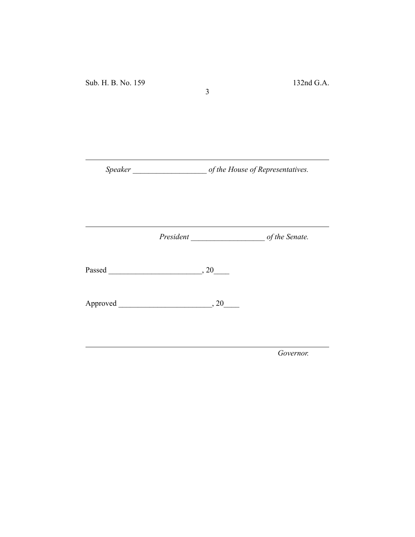*Speaker \_\_\_\_\_\_\_\_\_\_\_\_\_\_\_\_\_\_\_ of the House of Representatives.*

3

*President \_\_\_\_\_\_\_\_\_\_\_\_\_\_\_\_\_\_\_ of the Senate.*

Passed \_\_\_\_\_\_\_\_\_\_\_\_\_\_\_\_\_\_\_\_\_\_\_\_, 20\_\_\_\_

Approved \_\_\_\_\_\_\_\_\_\_\_\_\_\_\_\_\_\_\_\_\_\_\_\_, 20\_\_\_\_

*Governor.*